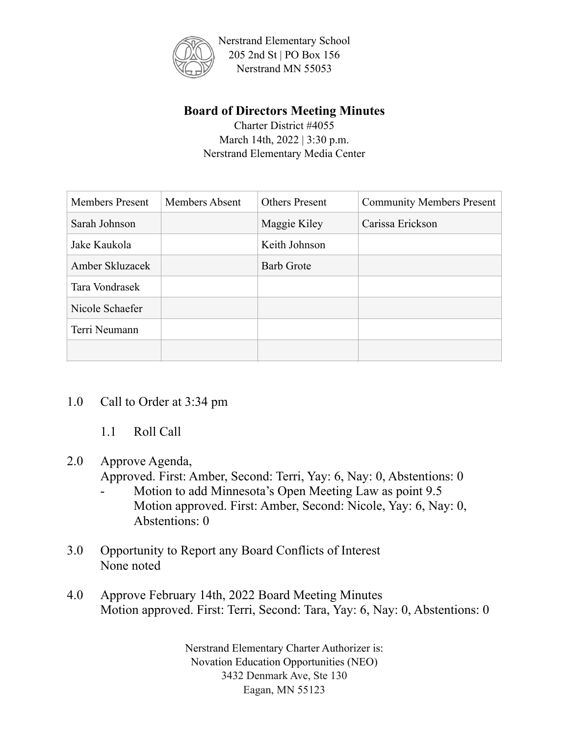

# **Board of Directors Meeting Minutes**

Charter District #4055 March 14th, 2022 | 3:30 p.m. Nerstrand Elementary Media Center

| <b>Members Present</b> | Members Absent | <b>Others Present</b> | <b>Community Members Present</b> |
|------------------------|----------------|-----------------------|----------------------------------|
| Sarah Johnson          |                | Maggie Kiley          | Carissa Erickson                 |
| Jake Kaukola           |                | Keith Johnson         |                                  |
| Amber Skluzacek        |                | <b>Barb Grote</b>     |                                  |
| Tara Vondrasek         |                |                       |                                  |
| Nicole Schaefer        |                |                       |                                  |
| Terri Neumann          |                |                       |                                  |
|                        |                |                       |                                  |

### 1.0 Call to Order at 3:34 pm

1.1 Roll Call

### 2.0 Approve Agenda,

Approved. First: Amber, Second: Terri, Yay: 6, Nay: 0, Abstentions: 0

- Motion to add Minnesota's Open Meeting Law as point 9.5 Motion approved. First: Amber, Second: Nicole, Yay: 6, Nay: 0, Abstentions: 0
- 3.0 Opportunity to Report any Board Conflicts of Interest None noted
- 4.0 Approve February 14th, 2022 Board Meeting Minutes Motion approved. First: Terri, Second: Tara, Yay: 6, Nay: 0, Abstentions: 0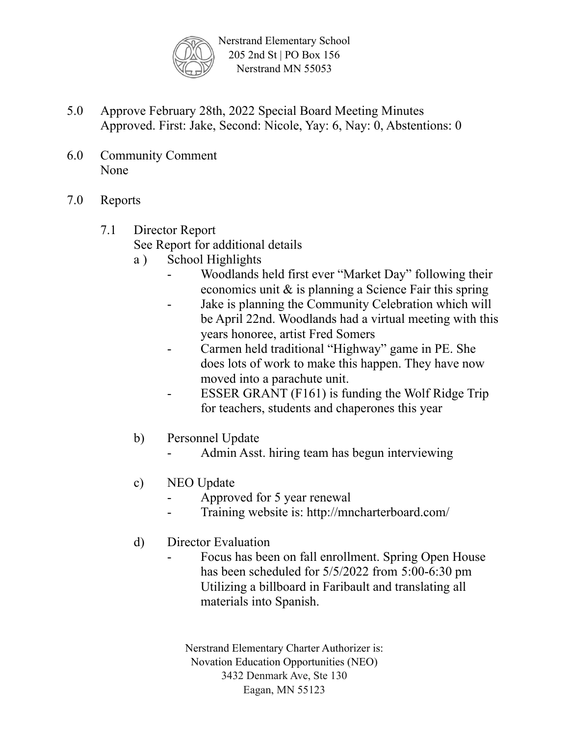

- 5.0 Approve February 28th, 2022 Special Board Meeting Minutes Approved. First: Jake, Second: Nicole, Yay: 6, Nay: 0, Abstentions: 0
- 6.0 Community Comment None
- 7.0 Reports

# 7.1 Director Report

See Report for additional details

- a ) School Highlights
	- Woodlands held first ever "Market Day" following their economics unit & is planning a Science Fair this spring
	- Jake is planning the Community Celebration which will be April 22nd. Woodlands had a virtual meeting with this years honoree, artist Fred Somers
	- Carmen held traditional "Highway" game in PE. She does lots of work to make this happen. They have now moved into a parachute unit.
	- ESSER GRANT  $(F161)$  is funding the Wolf Ridge Trip for teachers, students and chaperones this year
- b) Personnel Update
	- Admin Asst. hiring team has begun interviewing
- c) NEO Update
	- Approved for 5 year renewal
	- Training website is: http://mncharterboard.com/
- d) Director Evaluation
	- Focus has been on fall enrollment. Spring Open House has been scheduled for 5/5/2022 from 5:00-6:30 pm Utilizing a billboard in Faribault and translating all materials into Spanish.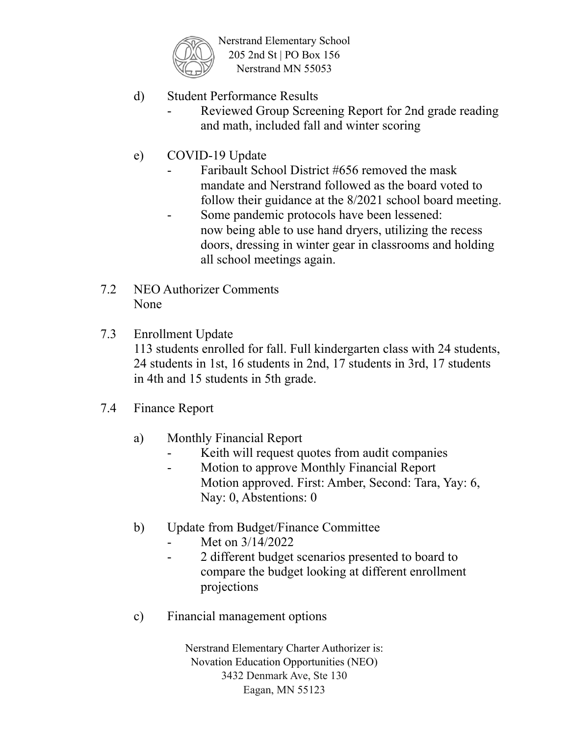

- d) Student Performance Results
	- Reviewed Group Screening Report for 2nd grade reading and math, included fall and winter scoring
- e) COVID-19 Update
	- Faribault School District #656 removed the mask mandate and Nerstrand followed as the board voted to follow their guidance at the 8/2021 school board meeting.
	- Some pandemic protocols have been lessened: now being able to use hand dryers, utilizing the recess doors, dressing in winter gear in classrooms and holding all school meetings again.
- 7.2 NEO Authorizer Comments None
- 7.3 Enrollment Update 113 students enrolled for fall. Full kindergarten class with 24 students,

24 students in 1st, 16 students in 2nd, 17 students in 3rd, 17 students in 4th and 15 students in 5th grade.

- 7.4 Finance Report
	- a) Monthly Financial Report
		- Keith will request quotes from audit companies
		- Motion to approve Monthly Financial Report Motion approved. First: Amber, Second: Tara, Yay: 6, Nay: 0, Abstentions: 0
	- b) Update from Budget/Finance Committee
		- Met on  $3/14/2022$
		- 2 different budget scenarios presented to board to compare the budget looking at different enrollment projections
	- c) Financial management options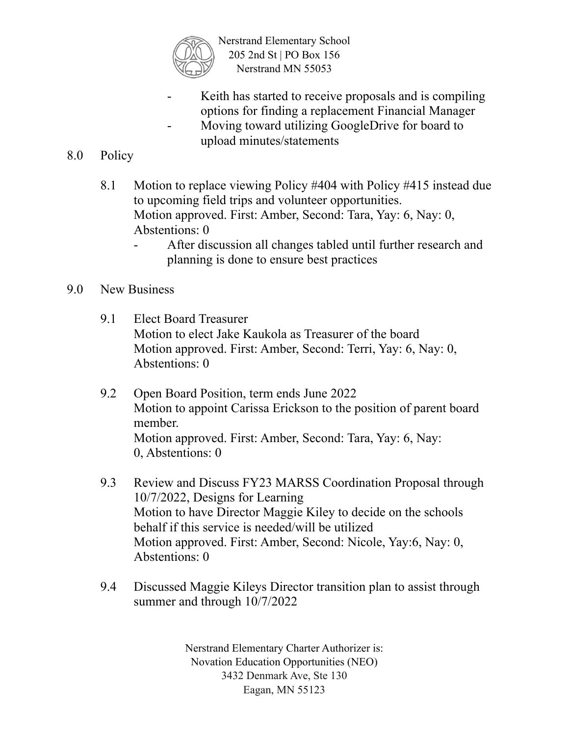

- Keith has started to receive proposals and is compiling options for finding a replacement Financial Manager
- Moving toward utilizing GoogleDrive for board to upload minutes/statements

## 8.0 Policy

- 8.1 Motion to replace viewing Policy #404 with Policy #415 instead due to upcoming field trips and volunteer opportunities. Motion approved. First: Amber, Second: Tara, Yay: 6, Nay: 0, Abstentions: 0
	- After discussion all changes tabled until further research and planning is done to ensure best practices

#### 9.0 New Business

- 9.1 Elect Board Treasurer Motion to elect Jake Kaukola as Treasurer of the board Motion approved. First: Amber, Second: Terri, Yay: 6, Nay: 0, Abstentions: 0
- 9.2 Open Board Position, term ends June 2022 Motion to appoint Carissa Erickson to the position of parent board member. Motion approved. First: Amber, Second: Tara, Yay: 6, Nay: 0, Abstentions: 0
- 9.3 Review and Discuss FY23 MARSS Coordination Proposal through 10/7/2022, Designs for Learning Motion to have Director Maggie Kiley to decide on the schools behalf if this service is needed/will be utilized Motion approved. First: Amber, Second: Nicole, Yay:6, Nay: 0, Abstentions: 0
- 9.4 Discussed Maggie Kileys Director transition plan to assist through summer and through 10/7/2022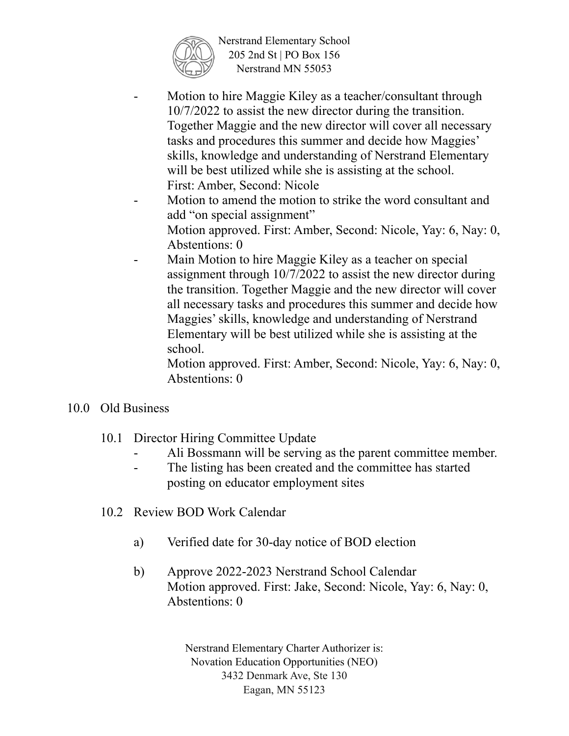

- Motion to hire Maggie Kiley as a teacher/consultant through 10/7/2022 to assist the new director during the transition. Together Maggie and the new director will cover all necessary tasks and procedures this summer and decide how Maggies' skills, knowledge and understanding of Nerstrand Elementary will be best utilized while she is assisting at the school. First: Amber, Second: Nicole
- Motion to amend the motion to strike the word consultant and add "on special assignment" Motion approved. First: Amber, Second: Nicole, Yay: 6, Nay: 0, Abstentions: 0
- Main Motion to hire Maggie Kiley as a teacher on special assignment through 10/7/2022 to assist the new director during the transition. Together Maggie and the new director will cover all necessary tasks and procedures this summer and decide how Maggies' skills, knowledge and understanding of Nerstrand Elementary will be best utilized while she is assisting at the school.

Motion approved. First: Amber, Second: Nicole, Yay: 6, Nay: 0, Abstentions: 0

- 10.0 Old Business
	- 10.1 Director Hiring Committee Update
		- Ali Bossmann will be serving as the parent committee member.
		- The listing has been created and the committee has started posting on educator employment sites
	- 10.2 Review BOD Work Calendar
		- a) Verified date for 30-day notice of BOD election
		- b) Approve 2022-2023 Nerstrand School Calendar Motion approved. First: Jake, Second: Nicole, Yay: 6, Nay: 0, Abstentions: 0